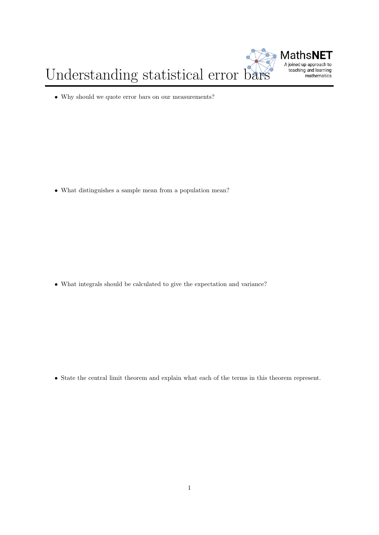

Understanding statistical error bars

• Why should we quote error bars on our measurements?

• What distinguishes a sample mean from a population mean?

• What integrals should be calculated to give the expectation and variance?

• State the central limit theorem and explain what each of the terms in this theorem represent.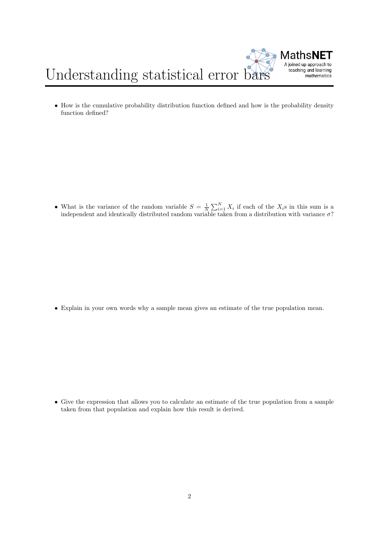



• How is the cumulative probability distribution function defined and how is the probability density function defined?

• What is the variance of the random variable  $S = \frac{1}{N} \sum_{i=1}^{N} X_i$  if each of the  $X_i$ s in this sum is a independent and identically distributed random variable taken from a distribution with variance  $\sigma$ ?

• Explain in your own words why a sample mean gives an estimate of the true population mean.

• Give the expression that allows you to calculate an estimate of the true population from a sample taken from that population and explain how this result is derived.